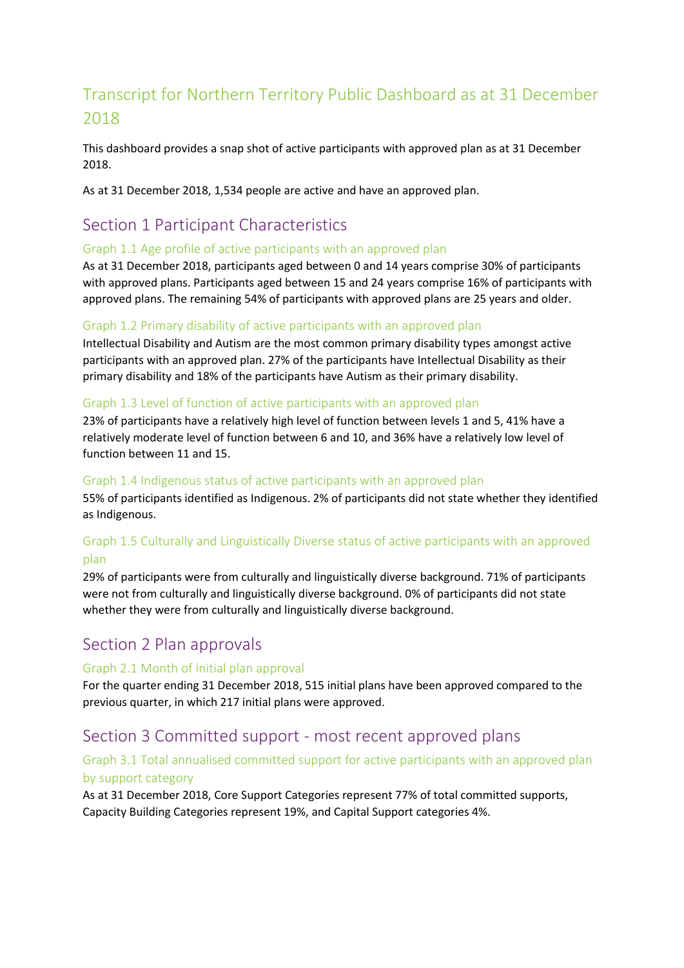# Transcript for Northern Territory Public Dashboard as at 31 December 2018

This dashboard provides a snap shot of active participants with approved plan as at 31 December 2018.

As at 31 December 2018, 1,534 people are active and have an approved plan.

# Section 1 Participant Characteristics

#### Graph 1.1 Age profile of active participants with an approved plan

As at 31 December 2018, participants aged between 0 and 14 years comprise 30% of participants with approved plans. Participants aged between 15 and 24 years comprise 16% of participants with approved plans. The remaining 54% of participants with approved plans are 25 years and older.

#### Graph 1.2 Primary disability of active participants with an approved plan

Intellectual Disability and Autism are the most common primary disability types amongst active participants with an approved plan. 27% of the participants have Intellectual Disability as their primary disability and 18% of the participants have Autism as their primary disability.

#### Graph 1.3 Level of function of active participants with an approved plan

23% of participants have a relatively high level of function between levels 1 and 5, 41% have a relatively moderate level of function between 6 and 10, and 36% have a relatively low level of function between 11 and 15.

#### Graph 1.4 Indigenous status of active participants with an approved plan

55% of participants identified as Indigenous. 2% of participants did not state whether they identified as Indigenous.

#### Graph 1.5 Culturally and Linguistically Diverse status of active participants with an approved plan

29% of participants were from culturally and linguistically diverse background. 71% of participants were not from culturally and linguistically diverse background. 0% of participants did not state whether they were from culturally and linguistically diverse background.

# Section 2 Plan approvals

#### Graph 2.1 Month of initial plan approval

For the quarter ending 31 December 2018, 515 initial plans have been approved compared to the previous quarter, in which 217 initial plans were approved.

# Section 3 Committed support - most recent approved plans

## Graph 3.1 Total annualised committed support for active participants with an approved plan by support category

As at 31 December 2018, Core Support Categories represent 77% of total committed supports, Capacity Building Categories represent 19%, and Capital Support categories 4%.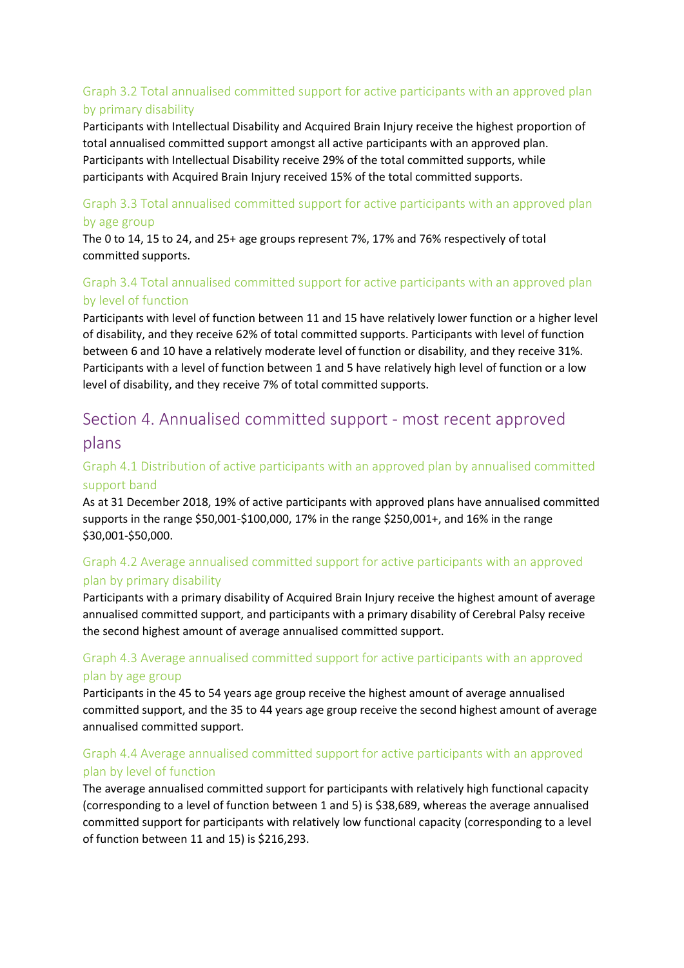# Graph 3.2 Total annualised committed support for active participants with an approved plan by primary disability

Participants with Intellectual Disability and Acquired Brain Injury receive the highest proportion of total annualised committed support amongst all active participants with an approved plan. Participants with Intellectual Disability receive 29% of the total committed supports, while participants with Acquired Brain Injury received 15% of the total committed supports.

#### Graph 3.3 Total annualised committed support for active participants with an approved plan by age group

The 0 to 14, 15 to 24, and 25+ age groups represent 7%, 17% and 76% respectively of total committed supports.

# Graph 3.4 Total annualised committed support for active participants with an approved plan by level of function

Participants with level of function between 11 and 15 have relatively lower function or a higher level of disability, and they receive 62% of total committed supports. Participants with level of function between 6 and 10 have a relatively moderate level of function or disability, and they receive 31%. Participants with a level of function between 1 and 5 have relatively high level of function or a low level of disability, and they receive 7% of total committed supports.

# Section 4. Annualised committed support - most recent approved plans

## Graph 4.1 Distribution of active participants with an approved plan by annualised committed support band

As at 31 December 2018, 19% of active participants with approved plans have annualised committed supports in the range \$50,001-\$100,000, 17% in the range \$250,001+, and 16% in the range \$30,001-\$50,000.

## Graph 4.2 Average annualised committed support for active participants with an approved plan by primary disability

Participants with a primary disability of Acquired Brain Injury receive the highest amount of average annualised committed support, and participants with a primary disability of Cerebral Palsy receive the second highest amount of average annualised committed support.

## Graph 4.3 Average annualised committed support for active participants with an approved plan by age group

Participants in the 45 to 54 years age group receive the highest amount of average annualised committed support, and the 35 to 44 years age group receive the second highest amount of average annualised committed support.

# Graph 4.4 Average annualised committed support for active participants with an approved plan by level of function

The average annualised committed support for participants with relatively high functional capacity (corresponding to a level of function between 1 and 5) is \$38,689, whereas the average annualised committed support for participants with relatively low functional capacity (corresponding to a level of function between 11 and 15) is \$216,293.